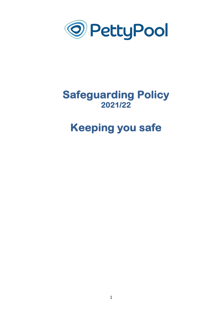

# **Safeguarding Policy 2021/22**

# **Keeping you safe**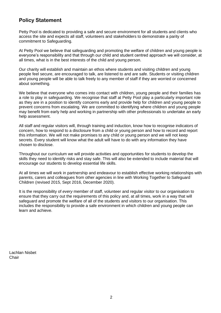### **Policy Statement**

Petty Pool is dedicated to providing a safe and secure environment for all students and clients who access the site and expects all staff, volunteers and stakeholders to demonstrate a parity of commitment to Safeguarding.

At Petty Pool we believe that safeguarding and promoting the welfare of children and young people is everyone's responsibility and that through our child and student centred approach we will consider, at all times, what is in the best interests of the child and young person.

Our charity will establish and maintain an ethos where students and visiting children and young people feel secure, are encouraged to talk, are listened to and are safe. Students or visiting children and young people will be able to talk freely to any member of staff if they are worried or concerned about something.

We believe that everyone who comes into contact with children, young people and their families has a role to play in safeguarding. We recognise that staff at Petty Pool play a particularly important role as they are in a position to identify concerns early and provide help for children and young people to prevent concerns from escalating. We are committed to identifying where children and young people may benefit from early help and working in partnership with other professionals to undertake an early help assessment.

All staff and regular visitors will, through training and induction, know how to recognise indicators of concern, how to respond to a disclosure from a child or young person and how to record and report this information. We will not make promises to any child or young person and we will not keep secrets. Every student will know what the adult will have to do with any information they have chosen to disclose.

Throughout our curriculum we will provide activities and opportunities for students to develop the skills they need to identify risks and stay safe. This will also be extended to include material that will encourage our students to develop essential life skills.

At all times we will work in partnership and endeavour to establish effective working relationships with parents, carers and colleagues from other agencies in line with Working Together to Safeguard Children (revised 2015, Sept 2016, December 2020).

It is the responsibility of *every* member of staff, volunteer and regular visitor to our organisation to ensure that they carry out the requirements of this policy and, at all times, work in a way that will safeguard and promote the welfare of all of the students and visitors to our organisation. This includes the responsibility to provide a safe environment in which children and young people can learn and achieve.

Lachlan Nisbet **Chair**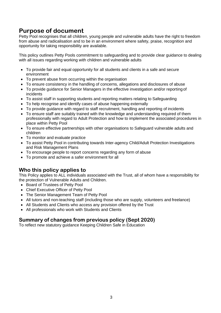# **Purpose of document**

Petty Pool recognises that all children, young people and vulnerable adults have the right to freedom from abuse and radicalisation and to be in an environment where safety, praise, recognition and opportunity for taking responsibility are available.

This policy outlines Petty Pools commitment to safeguarding and to provide clear guidance to dealing with all issues regarding working with children and vulnerable adults

- To provide fair and equal opportunity for all students and clients in a safe and secure environment
- To prevent abuse from occurring within the organisation
- To ensure consistency in the handling of concerns, allegations and disclosures of abuse
- To provide guidance for Senior Managers in the effective investigation and/or reporting of incidents
- To assist staff in supporting students and reporting matters relating to Safeguarding
- To help recognise and identify cases of abuse happening externally
- To provide guidance with regard to staff recruitment, handling and reporting of incidents
- To ensure staff are suitably trained with the knowledge and understanding required of them professionally with regard to Adult Protection and how to implement the associated procedures in place within Petty Pool
- To ensure effective partnerships with other organisations to Safeguard vulnerable adults and children
- To monitor and evaluate practice
- To assist Petty Pool in contributing towards Inter-agency Child/Adult Protection Investigations and Risk Management Plans
- To encourage people to report concerns regarding any form of abuse
- To promote and achieve a safer environment for all

### **Who this policy applies to**

This Policy applies to ALL individuals associated with the Trust, all of whom have a responsibility for the protection of Vulnerable Adults and Children.

- Board of Trustees of Petty Pool
- Chief Executive Officer of Petty Pool
- The Senior Management Team of Petty Pool
- All tutors and non-teaching staff (including those who are supply, volunteers and freelance)
- All Students and Clients who access any provision offered by the Trust
- All professionals who work with Students and Clients

### **Summary of changes from previous policy (Sept 2020)**

To reflect new statutory guidance Keeping Children Safe in Education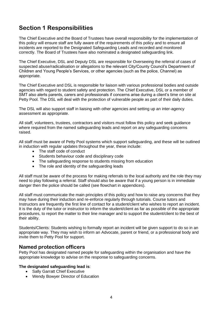# **Section 1 Responsibilities**

The Chief Executive and the Board of Trustees have overall responsibility for the implementation of this policy will ensure staff are fully aware of the requirements of this policy and to ensure all incidents are reported to the Designated Safeguarding Leads and recorded and monitored correctly. The Board of Trustees have also nominated a designated safeguarding link.

The Chief Executive, DSL and Deputy DSL are responsible for Overseeing the referral of cases of suspected abuse/radicalisation or allegations to the relevant City/County Council's Department of Children and Young People's Services, or other agencies (such as the police, Channel) as appropriate.

The Chief Executive and DSL is responsible for liaison with various professional bodies and outside agencies with regard to student safety and protection. The Chief Executive, DSL or a member of SMT also alerts parents, carers and professionals if concerns arise during a client's time on site at Petty Pool. The DSL will deal with the protection of vulnerable people as part of their daily duties.

The DSL will also support staff in liaising with other agencies and setting up an inter-agency assessment as appropriate.

All staff, volunteers, trustees, contractors and visitors must follow this policy and seek guidance where required from the named safeguarding leads and report on any safeguarding concerns raised.

All staff must be aware of Petty Pool systems which support safeguarding, and these will be outlined in induction with regular updates throughout the year, these include:

- The staff code of conduct
- Students behaviour code and disciplinary code
- The safeguarding response to students missing from education
- The role and identity of the safeguarding leads

All staff must be aware of the process for making referrals to the local authority and the role they may need to play following a referral. Staff should also be aware that if a young person is in immediate danger then the police should be called (see flowchart in appendices).

All staff must communicate the main principles of this policy and how to raise any concerns that they may have during their induction and re-enforce regularly through tutorials. Course tutors and Instructors are frequently the first line of contact for a student/client who wishes to report an incident. It is the duty of the tutor or instructor to inform the student/client as far as possible of the appropriate procedures, to report the matter to their line manager and to support the student/client to the best of their ability.

Students/Clients: Students wishing to formally report an incident will be given support to do so in an appropriate way. They may wish to inform an Advocate, parent or friend, or a professional body and invite them to Petty Pool for support.

### **Named protection officers**

Petty Pool has designated named people for safeguarding within the organisation and have the appropriate knowledge to advise on the response to safeguarding concerns.

#### **The designated safeguarding lead is**:

- Sally Garratt Chief Executive
- Wendy Bowyer Director of Education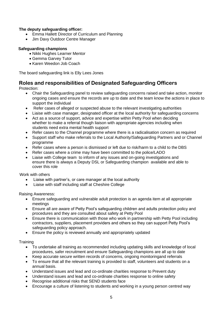#### **The deputy safeguarding officer:**

- Emma Hallett Director of Curriculum and Planning
- Jim Davy Outdoor Centre Manager

#### **Safeguarding champions**

- Nikki Hughes Learner Mentor
- Gemma Garvey Tutor
- Karen Weedon Job Coach

The board safeguarding link is Elly Lees Jones

### **Roles and responsibilities of Designated Safeguarding Officers**

Protection:

- Chair the Safeguarding panel to review safeguarding concerns raised and take action, monitor ongoing cases and ensure the records are up to date and the team know the actions in place to support the individual
- Refer cases of alleged or suspected abuse to the relevant investigating authorities
- Liaise with case manager, designated officer at the local authority for safeguarding concerns
- Act as a source of support, advice and expertise within Petty Pool when deciding whether to make a referral though liaison with appropriate agencies including when students need extra mental health support
- Refer cases to the Channel programme where there is a radicalisation concern as required
- Support staff who make referrals to the Local Authority/Safeguarding Partners and or Channel programme
- Refer cases where a person is dismissed or left due to risk/harm to a child to the DBS
- Refer cases where a crime may have been committed to the police/LADO
- Liaise with College team to inform of any issues and on-going investigations and ensure there is always a Deputy DSL or Safeguarding champion available and able to cover this role

Work with others

- Liaise with partner's, or care manager at the local authority
- Liaise with staff including staff at Cheshire College

Raising Awareness:

- Ensure safeguarding and vulnerable adult protection is an agenda item at all appropriate meetings
- Ensure all are aware of Petty Pool's safeguarding children and adults protection policy and procedures and they are consulted about safety at Petty Pool
- Ensure there is communication with those who work in partnership with Petty Pool including contractors, suppliers, placement providers and others so they can support Petty Pool's safeguarding policy approach.
- Ensure the policy is reviewed annually and appropriately updated

#### **Training**

- To undertake all training as recommended including updating skills and knowledge of local procedures, safer recruitment and ensure Safeguarding champions are all up to date
- Keep accurate secure written records of concerns, ongoing monitoringand referrals
- To ensure that all the relevant training is provided to staff, volunteers and students on a annual basis.
- Understand issues and lead and co-ordinate charities response to Prevent duty
- Understand issues and lead and co-ordinate charities response to online safety
- Recognise additional risks that SEND students face
- Encourage a culture of listening to students and working in a young person centred way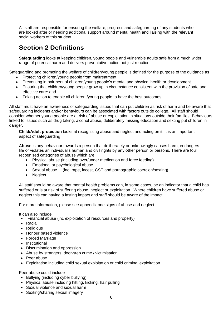All staff are responsible for ensuring the welfare, progress and safeguarding of any students who are looked after or needing additional support around mental health and liaising with the relevant social workers of this student.

# **Section 2 Definitions**

**Safeguarding** looks at keeping children, young people and vulnerable adults safe from a much wider range of potential harm and delivers preventative action not just reaction.

Safeguarding and promoting the welfare of children/young people is defined for the purpose of the guidance as

- Protecting children/young people from maltreatment
- Preventing impairment of children/young people's mental and physical health or development
- Ensuring that children/young people grow up in circumstance consistent with the provision of safe and effective care: and
- Taking action to enable all children /young people to have the best outcomes

All staff must have an awareness of safeguarding issues that can put children as risk of harm and be aware that safeguarding incidents and/or behaviours can be associated with factors outside college. All staff should consider whether young people are at risk of abuse or exploitation in situations outside their families. Behaviours linked to issues such as drug taking, alcohol abuse, deliberately missing education and sexting put children in danger.

**Child/Adult protection** looks at recognising abuse and neglect and acting on it, it is an important aspect of safeguarding

**Abuse** is any behaviour towards a person that deliberately or unknowingly causes harm, endangers life or violates an individual's human and civil rights by any other person or persons. There are four recognised categories of abuse which are:

- Physical abuse (including over/under medication and force feeding)
- Emotional or psychological abuse
- Sexual abuse (inc. rape, incest, CSE and pornographic coercion/sexting)
- Neglect

All staff should be aware that mental health problems can, in some cases, be an indicator that a child has suffered or is at risk of suffering abuse, neglect or exploitation. Where children have suffered abuse or neglect this can having a lasting impact and staff should be aware of the impact.

For more information, please see appendix one signs of abuse and neglect

It can also include

- Financial abuse (inc exploitation of resources and property)
- Racial
- Religious
- Honour based violence
- Forced Marriage
- Institutional
- Discrimination and oppression
- Abuse by strangers, door-step crime / victimisation
- Peer abuse
- Exploitation including child sexual exploitation or child criminal exploitation

Peer abuse could include

- Bullying (including cyber bullying)
- Physical abuse including hitting, kicking, hair pulling
- Sexual violence and sexual harm
- Sexting/sharing sexual imagery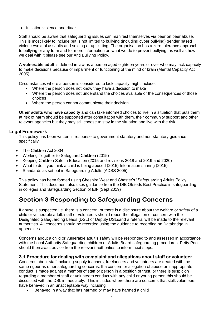• Initiation violence and rituals

Staff should be aware that safeguarding issues can manifest themselves via peer on peer abuse. This is most likely to include but is not limited to bullying (including cyber bullying) gender based violence/sexual assaults and sexting or upskirting. The organisation has a zero tolerance approach to bullying or any form and for more information on what we do to prevent bullying, as well as how we deal with it please see our Anti Bullying Policy.

**A vulnerable adult** is defined in law as a person aged eighteen years or over who may lack capacity to make decisions because of impairment or functioning of the mind or brain (Mental Capacity Act 2005)

Circumstances where a person is considered to lack capacity might include:

- Where the person does not know they have a decision to make
- Where the person does not understand the choices available or the consequences of those choices
- Where the person cannot communicate their decision

**Other adults who have capacity** and can take informed choices to live in a situation that puts them at risk of harm should be supported after consultation with them, their community support and other relevant agencies but they may still choose to stay in the situation and live with the risk

#### **Legal Framework**

This policy has been written in response to government statutory and non-statutory guidance specifically:

- The Children Act 2004
- Working Together to Safeguard Children (2015)
- Keeping Children Safe in Education (2015 and revisions 2018 and 2019 and 2020)
- What to do if you think a child is being abused (2015) Information sharing (2015)
- Standards as set out in Safeguarding Adults (ADSS 2005)

This policy has been formed using Cheshire West and Chester's "Safeguarding Adults Policy Statement. This document also uses guidance from the DfE Ofsteds Best Practice in safeguarding in colleges and Safeguarding Section of EIF (Sept 2019)

# **Section 3 Responding to Safeguarding Concerns**

If abuse is suspected i.e. there is a concern, or there is a disclosure about the welfare or safety of a child or vulnerable adult: staff or volunteers should report the allegation or concern with the Designated Safeguarding Leads (DSL) or Deputy DSLsand a referral will be made to the relevant authorities. All concerns should be recorded using the guidance to recording on Databridge in appendices..

Concerns about a child or vulnerable adult's safety will be responded to and assessed in accordance with the Local Authority Safeguarding children or Adults Board safeguarding procedures. Petty Pool should then await advice from the relevant authorities to inform next steps.

#### **3.1 Procedure for dealing with complaint and allegations about staff or volunteer**

Concerns about staff including supply teachers, freelancers and volunteers are treated with the same rigour as other safeguarding concerns. If a concern or allegation of abuse or inappropriate conduct is made against a member of staff or person in a position of trust, or there is suspicion regarding a member of staff or volunteers conduct with any child or young person this should be discussed with the DSL immediately. This includes where there are concerns that staff/volunteers have behaved in an unacceptable way including

• Behaved in a way that has harmed or may have harmed a child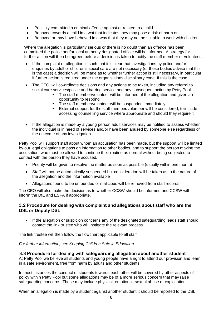- Possibly committed a criminal offence against or related to a child
- Behaved towards a child in a wat that indicates they may pose a risk of harm or
- Behaved or may have behaved in a way that they may not be suitable to work with children

Where the allegation is particularly serious or there is no doubt than an offence has been committed the police and/or local authority designated officer will be informed. A strategy for further action will then be agreed before a decision is taken to notify the staff member or volunteer.

- If the complaint or allegation is such that it is clear that investigations by police and/or enquiries by adult or children's social care are not necessary (or these bodies advise that this is the case) a decision will be made as to whether further action is still necessary, in particular if further action is required under the organisations disciplinary code. If this is the case
- The CEO will co-ordinate decisions and any actions to be taken, including any referral to social care services/police and barring service and any subsequent action by Petty Pool
	- The staff member/volunteer will be informed of the allegation and given an opportunity to respond
	- **The staff member/volunteer will be suspended immediately**
	- External support for the staff member/volunteer will be considered, to include accessing counselling service where appropriate and should they require it
- If the allegation is made by a young person adult services may be notified to assess whether the individual is in need of services and/or have been abused by someone else regardless of the outcome of any investigation.

Petty Pool will support staff about whom an accusation has been made, but the support will be limited by our legal obligations to pass on information to other bodies, and to support the person making the accusation, who must be allowed to continue their routine as normal without being subjected to contact with the person they have accused.

- Priority will be given to resolve the matter as soon as possible (usually within one month)
- Staff will not be automatically suspended but consideration will be taken as to the nature of the allegation and the information available
- Allegations found to be unfounded or malicious will be removed from staff records

The CEO will also make the decision as to whether CCSW should be informed and CCSW will inform the DfE and ESFA if appropriate.

#### **3.2 Procedure for dealing with complaint and allegations about staff who are the DSL or Deputy DSL**

If the allegation or suspicion concerns any of the designated safeguarding leads staff should contact the link trustee who will instigate the relevant process

The link trustee will then follow the flowchart applicable to all staff

*For further information, see Keeping Children Safe in Education* 

#### **3.3 Procedure for dealing with safeguarding allegation about another student**

At Petty Pool we believe all students and young people have a right to attend our provision and learn in a safe environment, free from harm by adults and other students.

In most instances the conduct of students towards each other will be covered by other aspects of policy within Petty Pool but some allegations may be of a more serious concern that may raise safeguarding concerns. These may include physical, emotional, sexual abuse or exploitation.

When an allegation is made by a student against another student it should be reported to the DSL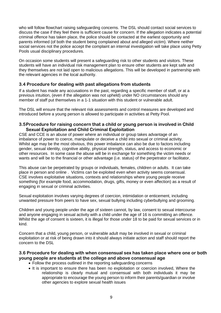who will follow flowchart raising safeguarding concerns. The DSL should contact social services to discuss the case if they feel there is sufficient cause for concern. If the allegation indicates a potential criminal offence has taken place, the police should be contacted at the earliest opportunity and parents informed (of both the student being complained about and alleged victim). Where neither social services not the police accept the complaint an internal investigation will take place using Petty Pools usual disciplinary procedures.

On occasion some students will present a safeguarding risk to other students and visitors. These students will have an individual risk management plan to ensure other students are kept safe and they themselves are not laid open to malicious allegations. This will be developed in partnership with the relevant agencies in the local authority.

#### **3.4 Procedure for dealing with past allegations from students**

If a student has made any accusations in the past, regarding a specific member of staff, or at a previous intuition, (even if the allegation was not upheld) under NO circumstances should any member of staff put themselves in a 1-1 situation with this student or vulnerable adult.

The DSL will ensure that the relevant risk assessments and control measures are developed and introduced before a young person is allowed to participate in activities at Petty Pool.

#### **3.5Procedure for raising concern that a child or young person is involved in Child Sexual Exploitation and Child Criminal Exploitation**

CSE and CCE is an abuse of power where an individual or group takes advantage of an imbalance of power to coerce, manipulate or deceive a child into sexual or criminal activity. Whilst age may be the most obvious, this power imbalance can also be due to factors including gender, sexual identity, cognitive ability, physical strength, status, and access to economic or other resources. In some case the abuse will be in exchange for something the victim needs or wants and will be to the financial or other advantage (i.e. status) of the perpetrator or facilitator,

This abuse can be perpetrated by groups or individuals, females, children or adults. It can take place in person and online . Victims can be exploited even when activity seems consensual. CSE involves exploitative situations, contexts and relationships where young people receive something (for example food, accommodation, drugs, gifts, money or even affection) as a result of engaging in sexual or criminal activities.

Sexual exploitation involves varying degrees of coercion, intimidation or enticement, including unwanted pressure from peers to have sex, sexual bullying including cyberbullying and grooming.

Children and young people under the age of sixteen cannot, by law, consent to sexual intercourse and anyone engaging in sexual activity with a child under the age of 16 is committing an offence. Whilst the age of consent is sixteen, it is illegal for those under 18 to be paid for sexual services or in kind.

Concern that a child, young person, or vulnerable adult may be involved in sexual or criminal exploitation or at risk of being drawn into it should always initiate action and staff should report the concern to the DSL

#### **3.6 Procedure for dealing with when consensual sex has taken place where one or both young people are students at the college and above consensual age**

- Follow the process outlined in the reporting safeguarding concerns
- It is important to ensure there has been no exploitation or coercion involved, Where the relationship is clearly mutual and consensual with both individuals it may be appropriate to encourage the young person to inform their parents/guardian or involve other agencies to explore sexual health issues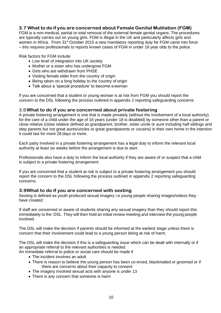#### **3.7 What to do if you are concerned about Female Genital Mutilation (FGM)**

FGM is a non-medical, partial or total removal of the external female genital organs. The procedures are typically carries out on young girls. FGM is illegal in the UK and particularly affects girls and women in Africa. From 31<sup>st</sup> October 2015 a new mandatory reporting duty for FGM came into force – this requires professionals to reports known cases of FGM in under 18 year olds to the police.

Risk factors for FGM include

- Low level of integration into UK society
- Mother or a sister who has undergone FGM
- Girls who are withdrawn from PHSE
- Visiting female elder from the country of origin
- Being taken on a long holiday to the country of origin
- Talk about a 'special procedure' to become a woman

If you are concerned that a student or young woman is at risk from FGM you should report the concern to the DSL following the process outlined in appendix 2 reporting safeguarding concerns

#### 3.8**What to do if you are concerned about private fostering**

A private fostering arrangement is one that is made privately (without the involvement of a local authority) for the care of a child under the age of 16 years (under 18 is disabled) by someone other than a parent or close relative (close relative defined as grandparent, brother, sister uncle or aunt including half siblings and step parents but not great aunts/uncles or great grandparents or cousins) in their own home in the intention it could last for more 28 days or more.

Each party involved in a private fostering arrangement has a legal duty to inform the relevant local authority at least six weeks before the arrangement is due to start.

Professionals also have a duty to inform the local authority if they are aware of or suspect that a child is subject to a private fostering arrangement.

If you are concerned that a student at risk is subject to a private fostering arrangement you should report the concern to the DSL following the process outlined in appendix 2 reporting safeguarding concerns.

#### **3.9What to do if you are concerned with sexting**

Sexting is defined as youth produced sexual imagery i.e young people sharing images/videos they have created.

If staff are concerned or aware of students sharing any sexual imagery than they should report this immediately to the DSL. They will then hold an initial review meeting and interview the young people involved.

The DSL will make the decision if parents should be informed at the earliest stage unless there is concern that their involvement could lead to a young person being at risk of harm.

The DSL will make the decision if this is a safeguarding issue which can be dealt with internally or if an appropriate referral to the relevant authorities is needed.

An immediate referral to police or social care should be made if

- The incident involves an adult
- There is reason to believe the young person has been co-erced, blackmailed or groomed or if there are concerns about their capacity to consent
- The imagery involved sexual acts with anyone is under 13
- There is any concern that someone is harm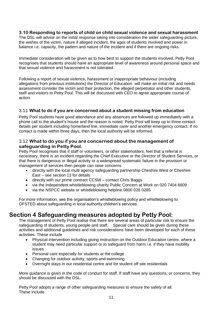#### **3.10 Responding to reports of child on child sexual violence and sexual harassment**

The DSL will advise on the initial response taking into consideration the wider safeguarding picture, the wishes of the victim, nature if alleged incident, the ages of students involved and power in balance i.e. capacity, the pattern and nature of the incident and if there are ongoing risks.

Immediate consideration will be given as to how best to support the students involved. Petty Pool recognises that students should have an appropriate level of awareness around personal space and that sexual violence and harassment is not tolerated.

Following a report of sexual violence, harassment or inappropriate behaviour (including allegations from previous institutions) the Director of Education will make an initial risk and needs assessment consider the victim and their protection, the alleged perpetrator and other students, staff and visitors to Petty Pool. This will be discussed with CEO to agree appropriate course of action.

#### 3.11 **What to do if you are concerned about a student missing from education**

Petty Pool students have good attendance and any absences are followed up immediately with a phone call to the student's house and the reason is noted. Petty Pool will keep up to three contact details per student including home/land line, immediate carer and another emergency contact. If no contact is made within three days, then the local authority will be informed.

#### 3.12 **What to do you if you are concerned about the management of safeguarding in Petty Pool.**

Petty Pool recognises that if staff or volunteers, or other stakeholders, feel that a referral is necessary, there is an incident regarding the Chief Executive or the Director of Student Services, or that there is dangerous or illegal activity or a widespread systematic failure in the provision or management of services then people can raise concerns

- directly with the local multi agency safeguarding partnership Cheshire West or Cheshire East – see section 13 for details
- directly with our prime contract CCSW contact Chris Baggs
- via the Independent whistleblowing charity Public Concern at Work on 020 7404 6609
- via the NSPCC website or whistleblowing helpline 0800 028 0285

For more information, see the organisation's whistleblowing policy and whistleblowing to OFSTED about safeguarding in local authority children's services.

### **Section 4 Safeguarding measures adopted by Petty Pool:**

The management of Petty Pool realise that there are several areas of particular risk to ensure the safeguarding of students, young people and staff. Special care should be given during these activities and additional guidelines and risk considerations have been developed for each of these activities. These include

- Physical intervention including giving instruction on the Outdoor Education centre, where a student may need particular support or to safeguard from harm i.e. if they have mobility issues
- Personal care especially for students at the college
- Changing for outdoor activity, sports and swimming
- Overnight stays in our residential centre and for student off site residentials

More guidance is given in the code of conduct for staff. If staff have any questions, or concerns, they should be discussed with the DSL.

Petty Pool adopts a range of other safeguarding measures to ensure the safety of all. These include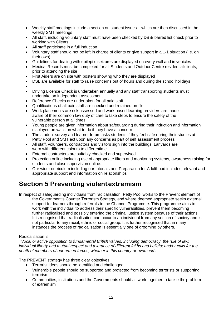- Weekly staff meetings include a section on student issues which are then discussed in the weekly SMT meetings
- All staff, including voluntary staff must have been checked by DBS/ barred list check prior to working with Clients
- All staff participate in a full induction
- Voluntary staff should not be left in charge of clients or give support in a 1-1 situation (i.e. on their own)
- Guidelines for dealing with epileptic seizures are displayed on every wall and in vehicles
- Medical Records must be completed for all Students and Outdoor Centre residential clients, prior to attending the site
- First Aiders are on site with posters showing who they are displayed
- DSL are available for staff to raise concerns out of hours and during the school holidays
- •
- Driving Licence Check is undertaken annually and any staff transporting students must undertake an independent assessment
- Reference Checks are undertaken for all paid staff
- Qualifications of all paid staff are checked and retained on file
- Work placements are risk assessed and work based learning providers are made aware of their common law duty of care to take steps to ensure the safety of the vulnerable person at all times
- Young people are given information about safeguarding during their induction and information displayed on walls on what to do if they have a concern
- The student survey and learner forum asks students if they feel safe during their studies at Petty Pool and SMT act upon any concerns as part of self assessment process
- All staff, volunteers, contractors and visitors sign into the buildings. Lanyards are worn with different colours to differentiate
- External contractors are suitably checked and supervised
- Protection online including use of appropriate filters and monitoring systems, awareness raising for students and close supervision online.
- Our wider curriculum including our tutorials and Preparation for Adulthood includes relevant and appropriate support and information on relationships

# **Section 5 Preventing violentextremism**

In respect of safeguarding individuals from radicalisation, Petty Pool works to the Prevent element of the Government's Counter Terrorism Strategy, and where deemed appropriate seeks external support for learners through referrals to the Channel Programme. This programme aims to work with the individual to address their specific vulnerabilities, prevent them becoming further radicalised and possibly entering the criminal justice system because of their actions. It is recognised that radicalisation can occur to an individual from any section of society and is not particular to any racial, ethnic or social group. It is further recognised that in many instances the process of radicalisation is essentially one of grooming by others.

#### Radicalisation is

*'Vocal or active opposition to fundamental British values, including democracy, the rule of law, individual liberty and mutual respect and tolerance of different faiths and beliefs; and/or calls for the death of members of our armed forces, whether in this country or overseas'*.

The PREVENT strategy has three clear objectives:

- Terrorist ideas should be identified and challenged
- Vulnerable people should be supported and protected from becoming terrorists or supporting terrorism
- Communities, institutions and the Governments should all work together to tackle the problem of extremism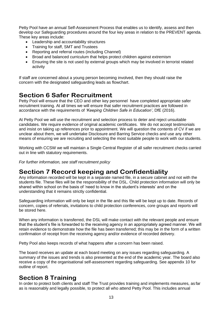Petty Pool have an annual Self-Assessment Process that enables us to identify, assess and then develop our Safeguarding procedures around the four key areas in relation to the PREVENT agenda. These key areas include:

- Leadership and accountability structures
- Training for staff, SMT and Trustees
- Reporting and referral routes (including Channel)
- Broad and balanced curriculum that helps protect children against extremism
- Ensuring the site is not used by external groups which may be involved in terrorist related activity

If staff are concerned about a young person becoming involved, then they should raise the concern with the designated safeguarding leads as flowchart.

# **Section 6 Safer Recruitment**

Petty Pool will ensure that the CEO and other key personnel have completed appropriate safer recruitment training. At all times we will ensure that safer recruitment practices are followed in accordance with the requirements of *'Keeping Children Safe in Education'*, DfE (2016).

At Petty Pool we will use the recruitment and selection process to deter and reject unsuitable candidates. We require evidence of original academic certificates. We do not accept testimonials and insist on taking up references prior to appointment. We will question the contents of CV if we are unclear about them, we will undertake Disclosure and Barring Service checks and use any other means of ensuring we are recruiting and selecting the most suitable people to work with our students.

Working with CCSW we will maintain a Single Central Register of all safer recruitment checks carried out in line with statutory requirements.

*For further information, see staff recruitment policy*

# **Section 7 Record keeping and Confidentiality**

Any information recorded will be kept in a separate named file, in a secure cabinet and not with the students file. These files will be the responsibility of the DSL. Child protection information will only be shared within school on the basis of 'need to know in the student's interests' and on the understanding that it remains strictly confidential.

Safeguarding information will only be kept in the file and this file will be kept up to date. Records of concern, copies of referrals, invitations to child protection conferences, core groups and reports will be stored here.

When any information is transferred, the DSL will make contact with the relevant people and ensure that the student's file is forwarded to the receiving agency in an appropriately agreed manner. We will retain evidence to demonstrate how the file has been transferred; this may be in the form of a written confirmation of receipt from the receiving agency and/or evidence of recorded delivery.

Petty Pool also keeps records of what happens after a concern has been raised.

The board receives an update at each board meeting on any issues regarding safeguarding. A summary of the issues and trends is also presented at the end of the academic year. The board also receive a copy of the organisational self-assessment regarding safeguarding. See appendix 10 for outline of report.

### **Section 8 Training**

In order to protect both clients and staff The Trust provides training and implements measures, as far as is reasonably and legally possible, to protect all who attend Petty Pool. This includes annual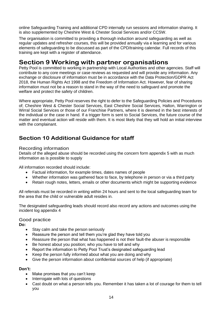online Safeguarding Training and additional CPD internally run sessions and information sharing. It is also supplemented by Cheshire West & Chester Social Services and/or CCSW.

The organisation is committed to providing a thorough induction around safeguarding as well as regular updates and refresher courses, this will be provided annually via e learning and for various elements of safeguarding to be discussed as part of the CPD/training calendar. Full records of this training are kept with a register of attendance.

## **Section 9 Working with partner organisations**

Petty Pool is committed to working in partnership with Local Authorities and other agencies. Staff will contribute to any core meetings or case reviews as requested and will provide any information. Any exchange or disclosure of information must be in accordance with the Data Protection/GDPR Act 2018, the Human Rights Act 1998 and the Freedom of Information Act. However, fear of sharing information must not be a reason to stand in the way of the need to safeguard and promote the welfare and protect the safety of children.

Where appropriate, Petty Pool reserves the right to defer to the Safeguarding Policies and Procedures of; Cheshire West & Chester Social Services, East Cheshire Social Services, Halton, Warrington or Wirral Social Services or those of our Franchise Partners, where it is deemed in the best interests of the individual or the case in hand. If a trigger form is sent to Social Services, the future course of the matter and eventual action will reside with them. It is most likely that they will hold an initial interview with the complainant.

### **Section 10 Additional Guidance for staff**

#### Recording information

Details of the alleged abuse should be recorded using the concern form appendix 5 with as much information as is possible to supply

All information recorded should include:

- Factual information, for example times, dates names of people
- Whether information was gathered face to face, by telephone in person or via a third party
- Retain rough notes, letters, emails or other documents which might be supporting evidence

All referrals must be recorded in writing within 24 hours and sent to the local safeguarding team for the area that the child or vulnerable adult resides in.

The designated safeguarding leads should record also record any actions and outcomes using the incident log appendix 4

#### Good practice

**Do:**

- Stay calm and take the person seriously
- Reassure the person and tell them you're glad they have told you
- Reassure the person that what has happened is not their fault-the abuser is responsible
- Be honest about you position; who you have to tell and why
- Report the information to Petty Pool Trust's designated safeguarding lead
- Keep the person fully informed about what you are doing and why
- Give the person information about confidential sources of help (if appropriate)

### **Don't:**

- Make promises that you can't keep
- Interrogate with lots of questions
- Cast doubt on what a person tells you. Remember it has taken a lot of courage for them to tell you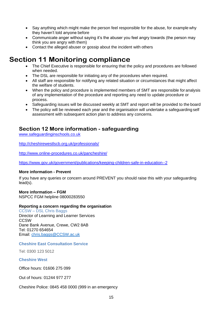- Say anything which might make the person feel responsible for the abuse, for example why they haven't told anyone before
- Communicate anger without saying it's the abuser you feel angry towards (the person may think you are angry with them)
- Contact the alleged abuser or gossip about the incident with others

# **Section 11 Monitoring compliance**

- The Chief Executive is responsible for ensuring that the policy and procedures are followed when needed.
- The DSL are responsible for initiating any of the procedures when required.
- All staff are responsible for notifying any related situation or circumstances that might affect the welfare of students.
- When the policy and procedure is implemented members of SMT are responsible for analysis of any implementation of the procedure and reporting any need to update procedure or process.
- Safeguarding issues will be discussed weekly at SMT and report will be provided to the board
- The policy will be reviewed each year and the organisation will undertake a safeguarding self assessment with subsequent action plan to address any concerns.

### **Section 12 More information - safeguarding**

[www.safeguardinginschools.co.uk](http://www.safeguardinginschools.co.uk/)

<http://cheshirewestlscb.org.uk/professionals/>

<http://www.online-procedures.co.uk/pancheshire/>

<https://www.gov.uk/government/publications/keeping-children-safe-in-education--2>

#### **More information - Prevent**

If you have any queries or concern around PREVENT you should raise this with your safeguarding lead(s).

#### **More information – FGM**

NSPCC FGM helpline 08000283550

#### **Reporting a concern regarding the organisation**

#### CCSW – DSL Chris Baggs

Director of Learning and Learner Services **CCSW** Dane Bank Avenue, Crewe, CW2 8AB Tel: 01270 654654 Email: [chris.baggs@CCSW.ac.uk](mailto:chris.baggs@scc.ac.uk)

#### **Cheshire East Consultation Service**

Tel: 0300 123 5012

#### **Cheshire West**

Office hours: 01606 275 099

Out of hours: 01244 977 277

Cheshire Police: 0845 458 0000 (999 in an emergency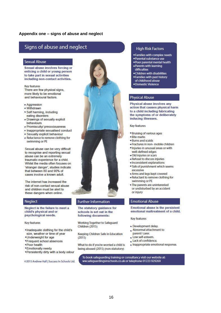#### **Appendix one – signs of abuse and neglect**

### Signs of abuse and neglect

#### **Sexual Abuse**

Sexual abuse involves forcing or enticing a child or young person to take part in sexual activities including non-contact activities.

Key features

There are few physical signs. more likely to be emotional and behavioural factors.

- · Aggression
- Withdrawn
- \* Self harming, including eating disorders
- · Drawings of sexually explicit behaviours
- · Promiscuity/ precociousness
- Inappropriate sexualised conduct
- · Sexually explicit behaviour
- · Reluctance to remove clothing for swimming or PE

Sexual abuse can be very difficult to recognise and reporting sexual abuse can be an extremely traumatic experience for a child. Whilst the media often focuses on 'stranger danger', studies indicate that between 80 and 90% of cases involve a known adult

The internet has increased the risk of non-contact sexual abuse and children must be alert to these dangers when online.

#### Neglect

Neglect is the failure to meet a child's physical and or psychological needs.

#### Key features

- \*Inadequate clothing for the child's size, weather or time of year
- •Underweight for age
- \*Frequent school absences
- \*Poor health
- \*Emotionally needy
- \*Persistently dirty with a body odour

@2015 Andrew Hall | Success In Schools Ltd.



#### **Further Information**

The statutory guidance for schools is set out in the following documents:

Working Together to Safeguard Children (2015)

Keeping Children Safe in Education  $(2015)$ 

What to do if you're worried a child is being abused (2015) (non-statutory)

#### **High Risk Factors**

- . Families with complex needs
- ·Parental substance use
- .Poor parental mental health · Parents with learning
- difficulties
- . Children with disabilities
- · Families with past history
- of childhood abuse
- ·Domestic Violence

#### **Physical Abuse**

Physical abuse involves any action that causes physical harm to a child including fabricating the symptoms of or deliberately inducing illnesses.

Key features

- · Bruising of various ages
- · Bite marks
- · Burns and scalds
- · Fractures in non- mobile children
- · Injuries in unusual areas or with well-defined edges
- · Old injuries or scars
- · Refusal to discuss injuries
- · Inconsistent explanations
- . Talk of punishment which seems excessive
- · Arms and legs kept covered
- · Reluctant to remove clothing for swimming or PE
- . The parents are uninterested or undisturbed by an accident or injury

#### **Emotional Abuse**

Emotional abuse is the persistent emotional maltreatment of a child.

Key features

- · Development delay.
- . Abnormal attachment to parent/ carer.
- + Low self-esteem.
- Lack of confidence.
- · Inappropriate emotional response.

To book safeguarding training or consultancy visit our website at: ww.safeguardingsinschools.co.uk or telephone 01223 929269